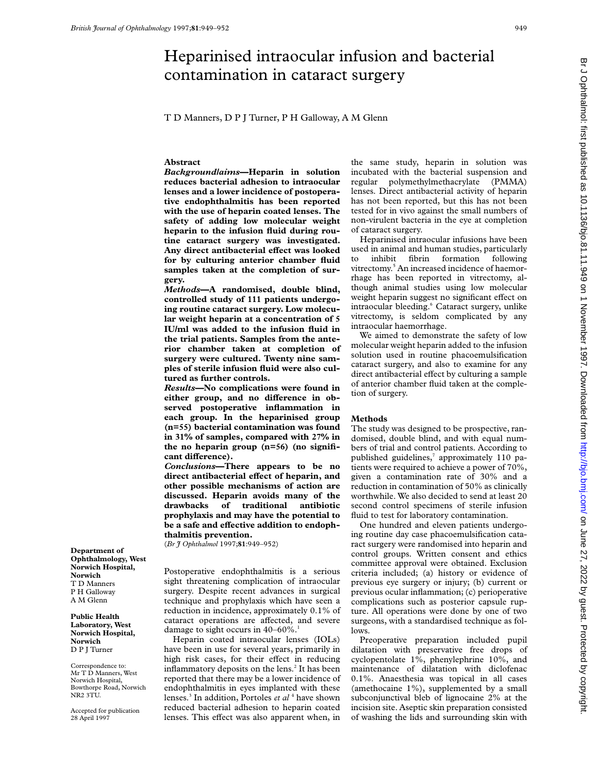# Heparinised intraocular infusion and bacterial contamination in cataract surgery

T D Manners, D P J Turner, P H Galloway, A M Glenn

# **Abstract**

*Background/aims***—Heparin in solution reduces bacterial adhesion to intraocular lenses and a lower incidence of postoperative endophthalmitis has been reported with the use of heparin coated lenses. The safety of adding low molecular weight heparin to the infusion fluid during routine cataract surgery was investigated.** Any direct antibacterial effect was looked **for by culturing anterior chamber fluid samples taken at the completion of surgery.**

*Methods***—A randomised, double blind, controlled study of 111 patients undergoing routine cataract surgery. Low molecular weight heparin at a concentration of 5 IU/ml was added to the infusion fluid in the trial patients. Samples from the anterior chamber taken at completion of surgery were cultured. Twenty nine samples of sterile infusion fluid were also cultured as further controls.**

*Results***—No complications were found in** either group, and no difference in ob**served postoperative inflammation in each group. In the heparinised group (n=55) bacterial contamination was found in 31% of samples, compared with 27% in the no heparin group (n=56) (no signifi** $cant difference$ ).

*Conclusions***—There appears to be no** direct antibacterial effect of heparin, and **other possible mechanisms of action are discussed. Heparin avoids many of the drawbacks of traditional antibiotic prophylaxis and may have the potential to** be a safe and effective addition to endoph**thalmitis prevention.**

(*Br J Ophthalmol* 1997;**81**:949–952)

Postoperative endophthalmitis is a serious sight threatening complication of intraocular surgery. Despite recent advances in surgical technique and prophylaxis which have seen a reduction in incidence, approximately 0.1% of cataract operations are affected, and severe damage to sight occurs in  $40-60\%$ .<sup>1</sup>

Heparin coated intraocular lenses (IOLs) have been in use for several years, primarily in high risk cases, for their effect in reducing inflammatory deposits on the lens.<sup>2</sup> It has been reported that there may be a lower incidence of endophthalmitis in eyes implanted with these lenses.<sup>3</sup> In addition, Portoles *et al* <sup>4</sup> have shown reduced bacterial adhesion to heparin coated lenses. This effect was also apparent when, in

the same study, heparin in solution was incubated with the bacterial suspension and regular polymethylmethacrylate (PMMA) lenses. Direct antibacterial activity of heparin has not been reported, but this has not been tested for in vivo against the small numbers of non-virulent bacteria in the eye at completion of cataract surgery.

Heparinised intraocular infusions have been used in animal and human studies, particularly to inhibit fibrin formation following vitrectomy.<sup>5</sup> An increased incidence of haemorrhage has been reported in vitrectomy, although animal studies using low molecular weight heparin suggest no significant effect on intraocular bleeding.<sup>6</sup> Cataract surgery, unlike vitrectomy, is seldom complicated by any intraocular haemorrhage.

We aimed to demonstrate the safety of low molecular weight heparin added to the infusion solution used in routine phacoemulsification cataract surgery, and also to examine for any direct antibacterial effect by culturing a sample of anterior chamber fluid taken at the completion of surgery.

#### **Methods**

The study was designed to be prospective, randomised, double blind, and with equal numbers of trial and control patients. According to published guidelines, $\frac{7}{10}$  approximately 110 patients were required to achieve a power of 70%, given a contamination rate of 30% and a reduction in contamination of 50% as clinically worthwhile. We also decided to send at least 20 second control specimens of sterile infusion fluid to test for laboratory contamination.

One hundred and eleven patients undergoing routine day case phacoemulsification cataract surgery were randomised into heparin and control groups. Written consent and ethics committee approval were obtained. Exclusion criteria included; (a) history or evidence of previous eye surgery or injury; (b) current or previous ocular inflammation; (c) perioperative complications such as posterior capsule rupture. All operations were done by one of two surgeons, with a standardised technique as follows.

Preoperative preparation included pupil dilatation with preservative free drops of cyclopentolate 1%, phenylephrine 10%, and maintenance of dilatation with diclofenac 0.1%. Anaesthesia was topical in all cases (amethocaine 1%), supplemented by a small subconjunctival bleb of lignocaine 2% at the incision site. Aseptic skin preparation consisted of washing the lids and surrounding skin with

Br J Ophthalmol: first published as 10.1136/bjo.81.11.949 on 1 November 1997. Downloaded from http://bjo.bmj.com/ on June 27, 2022 by guest. Protected by copyright on June 27, 2022 by guest. Protected by Guest. Protected by Guest. 2012 on 1 November 1997. Downloaddy conditionsi. <http://bjo.bmj.com/> on June 27, 2020 on 1 November 1997. Downloaddy conditionsi. Download trom 17, 2007. D

**Department of Ophthalmology, West Norwich Hospital, Norwich** T D Manners P H Galloway A M Glenn

**Public Health Laboratory, West Norwich Hospital, Norwich** D P J Turner

Correspondence to: Mr T D Manners, West Norwich Hospital, Bowthorpe Road, Norwich NR2 3TU.

Accepted for publication 28 April 1997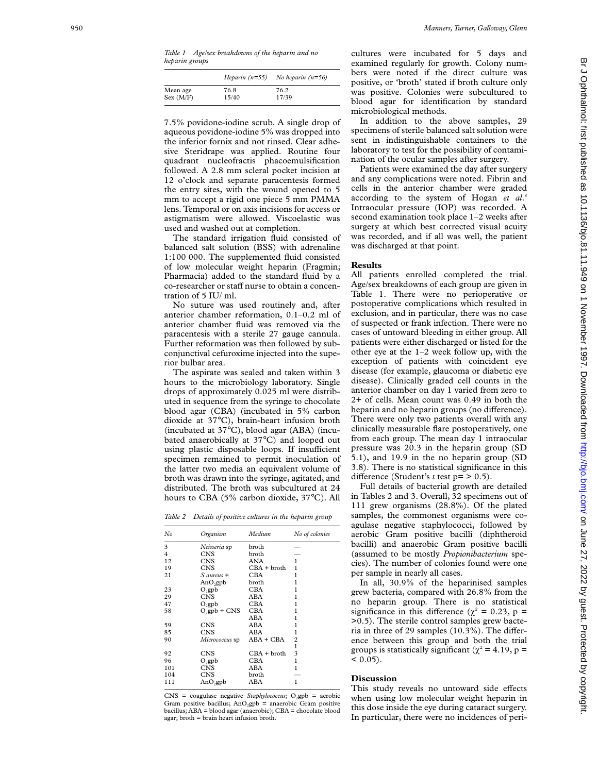|           | Heparin $(n=55)$ | No heparin $(n=56)$ |
|-----------|------------------|---------------------|
| Mean age  | 76.8             | 76.2                |
| Sex (M/F) | 15/40            | 17/39               |

7.5% povidone-iodine scrub. A single drop of aqueous povidone-iodine 5% was dropped into the inferior fornix and not rinsed. Clear adhesive Steridrape was applied. Routine four quadrant nucleofractis phacoemulsification followed. A 2.8 mm scleral pocket incision at 12 o'clock and separate paracentesis formed the entry sites, with the wound opened to 5 mm to accept a rigid one piece 5 mm PMMA lens. Temporal or on axis incisions for access or astigmatism were allowed. Viscoelastic was used and washed out at completion.

The standard irrigation fluid consisted of balanced salt solution (BSS) with adrenaline 1:100 000. The supplemented fluid consisted of low molecular weight heparin (Fragmin; Pharmacia) added to the standard fluid by a co-researcher or staff nurse to obtain a concentration of 5 IU/ ml.

No suture was used routinely and, after anterior chamber reformation, 0.1–0.2 ml of anterior chamber fluid was removed via the paracentesis with a sterile 27 gauge cannula. Further reformation was then followed by subconjunctival cefuroxime injected into the superior bulbar area.

The aspirate was sealed and taken within 3 hours to the microbiology laboratory. Single drops of approximately 0.025 ml were distributed in sequence from the syringe to chocolate blood agar (CBA) (incubated in 5% carbon dioxide at 37 °C), brain-heart infusion broth (incubated at 37 °C), blood agar (ABA) (incubated anaerobically at 37°C) and looped out using plastic disposable loops. If insufficient specimen remained to permit inoculation of the latter two media an equivalent volume of broth was drawn into the syringe, agitated, and distributed. The broth was subcultured at 24 hours to CBA (5% carbon dioxide, 37 °C). All

|  |  | Table 2 Details of positive cultures in the heparin group |  |  |  |  |
|--|--|-----------------------------------------------------------|--|--|--|--|
|--|--|-----------------------------------------------------------|--|--|--|--|

| No             | Organism             | Medium         | No of colonies |
|----------------|----------------------|----------------|----------------|
| 3              | Neisseria sp         | broth          |                |
| $\overline{4}$ | <b>CNS</b>           | broth          |                |
| 12             | <b>CNS</b>           | ANA            | 1              |
| 19             | <b>CNS</b>           | $CBA + broth$  | 1              |
| 21             | S aureus +           | CBA            | 1              |
|                | AnO <sub>2</sub> gpb | broth          | 1              |
| 23             | $O_2$ gpb            | CBA            | 1              |
| 29             | <b>CNS</b>           | ABA            | 1              |
| 47             | $O_2$ gpb            | CBA            | 1              |
| 58             | $O_2$ gpb + CNS      | CBA            | 1              |
|                |                      | ABA            | 1              |
| 59             | <b>CNS</b>           | ABA            | 1              |
| 85             | <b>CNS</b>           | ABA            | 1              |
| 90             | Micrococcus sp       | $ABA + CBA$    | 2              |
|                |                      |                | $\mathbf{1}$   |
| 92             | <b>CNS</b>           | $CBA + b$ roth | 3              |
| 96             | $O_2$ gpb            | CBA            | $\mathbf{1}$   |
| 101            | <b>CNS</b>           | ABA            | 1              |
| 104            | <b>CNS</b>           | broth          |                |
| 111            | AnO <sub>2</sub> gpb | ABA            | 1              |
|                |                      |                |                |

CNS = coagulase negative *Staphylococcus*; O 2gpb = aerobic Gram positive bacillus; AnO 2gpb = anaerobic Gram positive bacillus; ABA = blood agar (anaerobic); CBA = chocolate blood agar; broth = brain heart infusion broth.

cultures were incubated for 5 days and examined regularly for growth. Colony numbers were noted if the direct culture was positive, or 'broth' stated if broth culture only was positive. Colonies were subcultured to blood agar for identification by standard microbiological methods.

In addition to the above samples, 29 specimens of sterile balanced salt solution were sent in indistinguishable containers to the laboratory to test for the possibility of contamination of the ocular samples after surgery.

Patients were examined the day after surgery and any complications were noted. Fibrin and cells in the anterior chamber were graded according to the system of Hogan *et al* . 8 Intraocular pressure (IOP) was recorded. A second examination took place 1–2 weeks after surgery at which best corrected visual acuity was recorded, and if all was well, the patient was discharged at that point.

### **Results**

All patients enrolled completed the trial. Age/sex breakdowns of each group are given in Table 1. There were no perioperative or postoperative complications which resulted in exclusion, and in particular, there was no case of suspected or frank infection. There were no cases of untoward bleeding in either group. All patients were either discharged or listed for the other eye at the 1–2 week follow up, with the exception of patients with coincident eye disease (for example, glaucoma or diabetic eye disease). Clinically graded cell counts in the anterior chamber on day 1 varied from zero to 2+ of cells. Mean count was 0.49 in both the heparin and no heparin groups (no difference). There were only two patients overall with any clinically measurable flare postoperatively, one from each group. The mean day 1 intraocular pressure was 20.3 in the heparin group (SD 5.1), and 19.9 in the no heparin group (SD 3.8). There is no statistical significance in this difference (Student's  $t$  test  $p = > 0.5$ ).

Full details of bacterial growth are detailed in Tables 2 and 3. Overall, 32 specimens out of 111 grew organisms (28.8%). Of the plated samples, the commonest organisms were coagulase negative staphylococci, followed by aerobic Gram positive bacilli (diphtheroid bacilli) and anaerobic Gram positive bacilli (assumed to be mostly *Propionibacterium* species). The number of colonies found were one per sample in nearly all cases.

In all, 30.9% of the heparinised samples grew bacteria, compared with 26.8% from the no heparin group. There is no statistical significance in this difference ( $\chi^2 = 0.23$ , p = >0.5). The sterile control samples grew bacteria in three of 29 samples  $(10.3\%)$ . The difference between this group and both the trial groups is statistically significant ( $\chi^2$  = 4.19, p =  $< 0.05$ ).

## **Discussion**

This study reveals no untoward side effects when using low molecular weight heparin in this dose inside the eye during cataract surgery. In particular, there were no incidences of peri-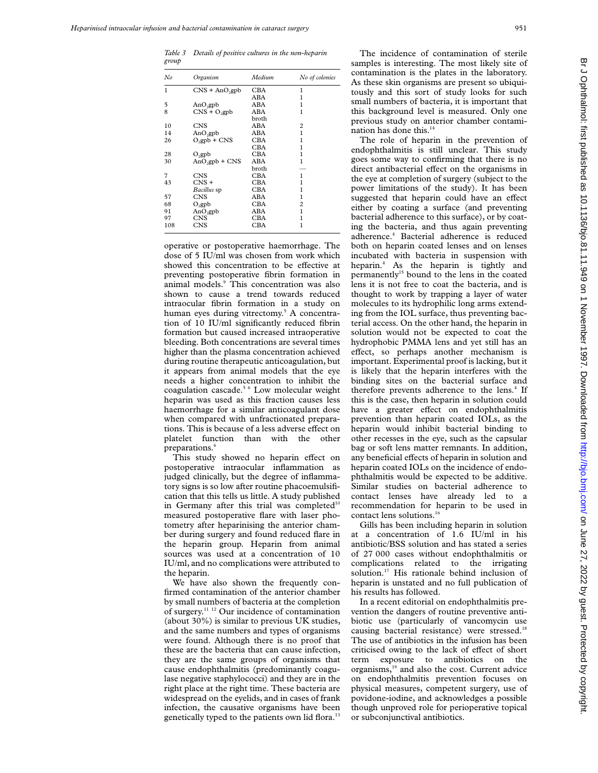*Table 3 Details of positive cultures in the non-heparin group*

| No  | Organism             | Medium     | No of colonies |
|-----|----------------------|------------|----------------|
| 1   | $CNS + AnO2gpb$      | CBA        | 1              |
|     |                      | ABA        |                |
| 5   | AnO <sub>2</sub> gpb | ABA        | ı              |
| 8   | $CNS + O2gpb$        | ABA        | 1              |
|     |                      | broth      |                |
| 10  | <b>CNS</b>           | ABA        | 2              |
| 14  | $AnO_2$ gpb          | ABA        | 1              |
| 26  | $O_2$ gpb + CNS      | CBA        | 1              |
|     |                      | CBA        |                |
| 28  | $O_2$ gpb            | <b>CBA</b> | ı              |
| 30  | $AnO2gpb + CNS$      | ABA        | 1              |
|     |                      | broth      |                |
| 7   | <b>CNS</b>           | CBA        |                |
| 43  | $CNS +$              | CBA        |                |
|     | <i>Bacillus</i> sp   | <b>CBA</b> |                |
| 57  | <b>CNS</b>           | ABA        | 1              |
| 68  | $O_2$ gpb            | CBA        | 2              |
| 91  | $AnO_2gpb$           | ABA        | 1              |
| 97  | <b>CNS</b>           | CBA        |                |
| 108 | <b>CNS</b>           | CBA        |                |

operative or postoperative haemorrhage. The dose of 5 IU/ml was chosen from work which showed this concentration to be effective at preventing postoperative fibrin formation in animal models.<sup>9</sup> This concentration was also shown to cause a trend towards reduced intraocular fibrin formation in a study on human eyes during vitrectomy.<sup>5</sup> A concentration of 10 IU/ml significantly reduced fibrin formation but caused increased intraoperative bleeding. Both concentrations are several times higher than the plasma concentration achieved during routine therapeutic anticoagulation, but it appears from animal models that the eye needs a higher concentration to inhibit the coagulation cascade.5 6 Low molecular weight heparin was used as this fraction causes less haemorrhage for a similar anticoagulant dose when compared with unfractionated preparations. This is because of a less adverse effect on platelet function than with the other preparations.<sup>6</sup>

This study showed no heparin effect on postoperative intraocular inflammation as judged clinically, but the degree of inflammatory signs is so low after routine phacoemulsification that this tells us little. A study published in Germany after this trial was completed<sup>10</sup> measured postoperative flare with laser photometry after heparinising the anterior chamber during surgery and found reduced flare in the heparin group. Heparin from animal sources was used at a concentration of 10 IU/ml, and no complications were attributed to the heparin.

We have also shown the frequently confirmed contamination of the anterior chamber by small numbers of bacteria at the completion of surgery.11 12 Our incidence of contamination (about 30%) is similar to previous UK studies, and the same numbers and types of organisms were found. Although there is no proof that these are the bacteria that can cause infection, they are the same groups of organisms that cause endophthalmitis (predominantly coagulase negative staphylococci) and they are in the right place at the right time. These bacteria are widespread on the eyelids, and in cases of frank infection, the causative organisms have been genetically typed to the patients own lid flora.<sup>13</sup>

The incidence of contamination of sterile samples is interesting. The most likely site of contamination is the plates in the laboratory. As these skin organisms are present so ubiquitously and this sort of study looks for such small numbers of bacteria, it is important that this background level is measured. Only one previous study on anterior chamber contamination has done this.<sup>14</sup>

The role of heparin in the prevention of endophthalmitis is still unclear. This study goes some way to confirming that there is no direct antibacterial effect on the organisms in the eve at completion of surgery (subject to the power limitations of the study). It has been suggested that heparin could have an effect either by coating a surface (and preventing bacterial adherence to this surface), or by coating the bacteria, and thus again preventing adherence.4 Bacterial adherence is reduced both on heparin coated lenses and on lenses incubated with bacteria in suspension with heparin.<sup>4</sup> As the heparin is tightly and permanently<sup>15</sup> bound to the lens in the coated lens it is not free to coat the bacteria, and is thought to work by trapping a layer of water molecules to its hydrophilic long arms extending from the IOL surface, thus preventing bacterial access. On the other hand, the heparin in solution would not be expected to coat the hydrophobic PMMA lens and yet still has an effect, so perhaps another mechanism is important. Experimental proof is lacking, but it is likely that the heparin interferes with the binding sites on the bacterial surface and therefore prevents adherence to the lens.<sup>4</sup> If this is the case, then heparin in solution could have a greater effect on endophthalmitis prevention than heparin coated IOLs, as the heparin would inhibit bacterial binding to other recesses in the eye, such as the capsular bag or soft lens matter remnants. In addition, any beneficial effects of heparin in solution and heparin coated IOLs on the incidence of endophthalmitis would be expected to be additive. Similar studies on bacterial adherence to contact lenses have already led to a recommendation for heparin to be used in contact lens solutions.<sup>16</sup>

Gills has been including heparin in solution at a concentration of 1.6 IU/ml in his antibiotic/BSS solution and has stated a series of 27 000 cases without endophthalmitis or complications related to the irrigating solution.17 His rationale behind inclusion of heparin is unstated and no full publication of his results has followed.

In a recent editorial on endophthalmitis prevention the dangers of routine preventive antibiotic use (particularly of vancomycin use causing bacterial resistance) were stressed.<sup>18</sup> The use of antibiotics in the infusion has been criticised owing to the lack of effect of short term exposure to antibiotics on the organisms,<sup>19</sup> and also the cost. Current advice on endophthalmitis prevention focuses on physical measures, competent surgery, use of povidone-iodine, and acknowledges a possible though unproved role for perioperative topical or subconjunctival antibiotics.